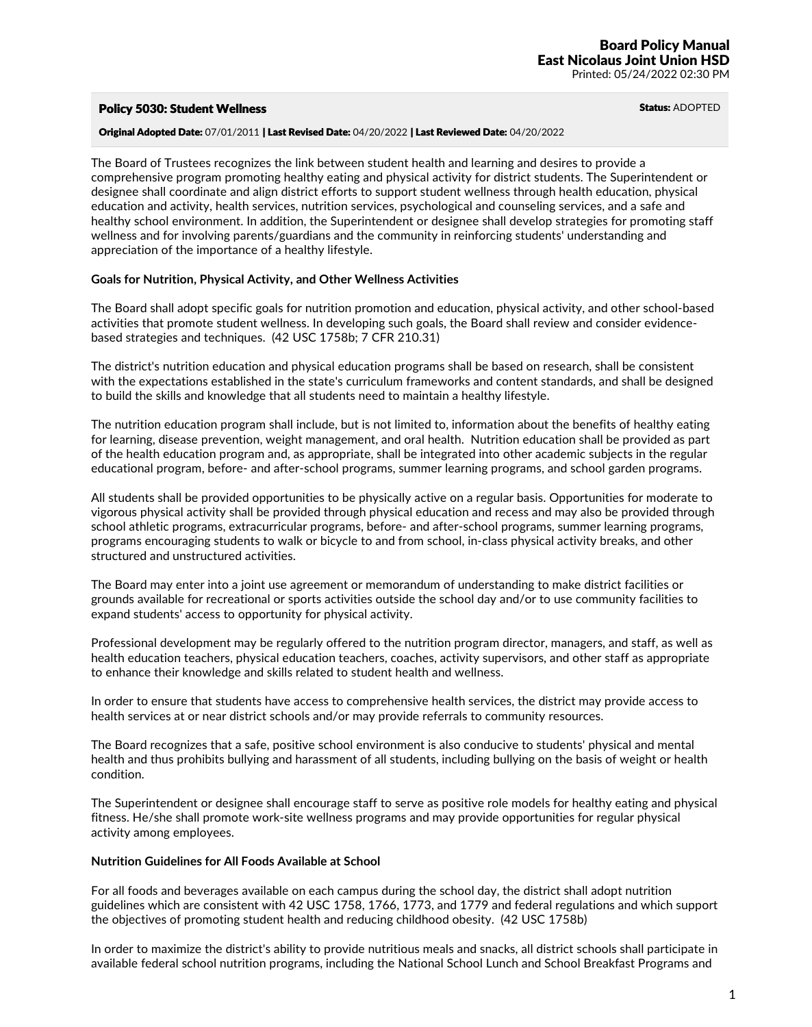## Policy 5030: Student Wellness and Status: ADOPTED

# Original Adopted Date: 07/01/2011 | Last Revised Date: 04/20/2022 | Last Reviewed Date: 04/20/2022

The Board of Trustees recognizes the link between student health and learning and desires to provide a comprehensive program promoting healthy eating and physical activity for district students. The Superintendent or designee shall coordinate and align district efforts to support student wellness through health education, physical education and activity, health services, nutrition services, psychological and counseling services, and a safe and healthy school environment. In addition, the Superintendent or designee shall develop strategies for promoting staff wellness and for involving parents/guardians and the community in reinforcing students' understanding and appreciation of the importance of a healthy lifestyle.

### **Goals for Nutrition, Physical Activity, and Other Wellness Activities**

The Board shall adopt specific goals for nutrition promotion and education, physical activity, and other school-based activities that promote student wellness. In developing such goals, the Board shall review and consider evidencebased strategies and techniques. (42 USC 1758b; 7 CFR 210.31)

The district's nutrition education and physical education programs shall be based on research, shall be consistent with the expectations established in the state's curriculum frameworks and content standards, and shall be designed to build the skills and knowledge that all students need to maintain a healthy lifestyle.

The nutrition education program shall include, but is not limited to, information about the benefits of healthy eating for learning, disease prevention, weight management, and oral health. Nutrition education shall be provided as part of the health education program and, as appropriate, shall be integrated into other academic subjects in the regular educational program, before- and after-school programs, summer learning programs, and school garden programs.

All students shall be provided opportunities to be physically active on a regular basis. Opportunities for moderate to vigorous physical activity shall be provided through physical education and recess and may also be provided through school athletic programs, extracurricular programs, before- and after-school programs, summer learning programs, programs encouraging students to walk or bicycle to and from school, in-class physical activity breaks, and other structured and unstructured activities.

The Board may enter into a joint use agreement or memorandum of understanding to make district facilities or grounds available for recreational or sports activities outside the school day and/or to use community facilities to expand students' access to opportunity for physical activity.

Professional development may be regularly offered to the nutrition program director, managers, and staff, as well as health education teachers, physical education teachers, coaches, activity supervisors, and other staff as appropriate to enhance their knowledge and skills related to student health and wellness.

In order to ensure that students have access to comprehensive health services, the district may provide access to health services at or near district schools and/or may provide referrals to community resources.

The Board recognizes that a safe, positive school environment is also conducive to students' physical and mental health and thus prohibits bullying and harassment of all students, including bullying on the basis of weight or health condition.

The Superintendent or designee shall encourage staff to serve as positive role models for healthy eating and physical fitness. He/she shall promote work-site wellness programs and may provide opportunities for regular physical activity among employees.

### **Nutrition Guidelines for All Foods Available at School**

For all foods and beverages available on each campus during the school day, the district shall adopt nutrition guidelines which are consistent with 42 USC 1758, 1766, 1773, and 1779 and federal regulations and which support the objectives of promoting student health and reducing childhood obesity. (42 USC 1758b)

In order to maximize the district's ability to provide nutritious meals and snacks, all district schools shall participate in available federal school nutrition programs, including the National School Lunch and School Breakfast Programs and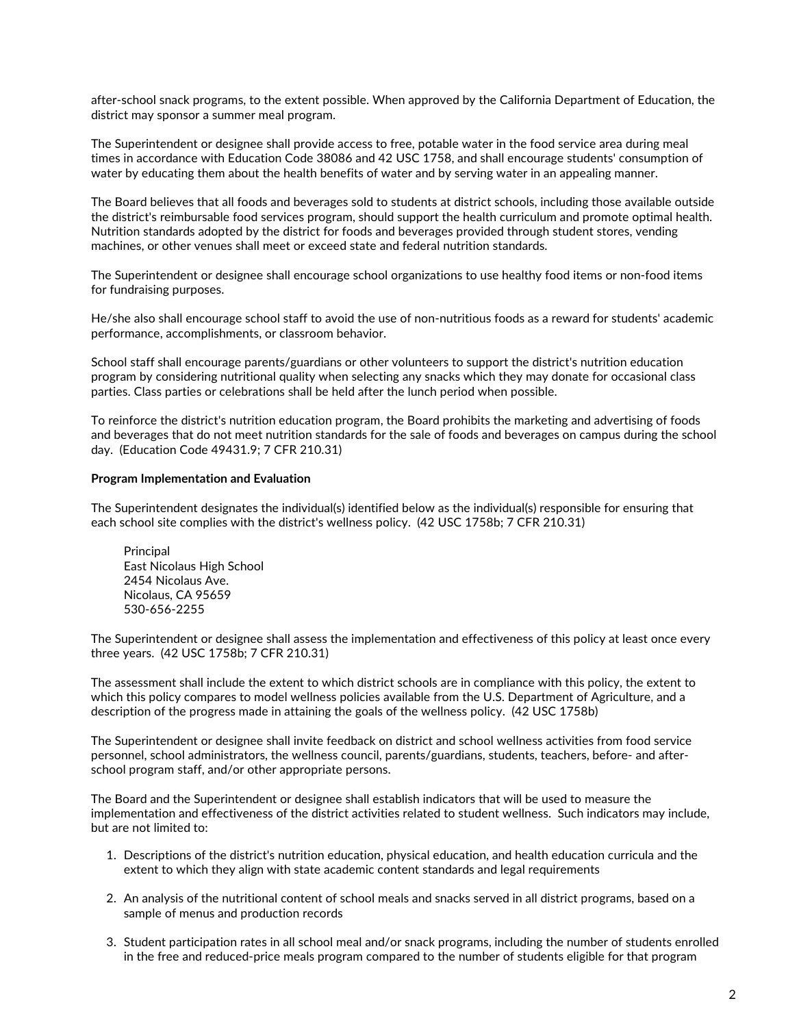after-school snack programs, to the extent possible. When approved by the California Department of Education, the district may sponsor a summer meal program.

The Superintendent or designee shall provide access to free, potable water in the food service area during meal times in accordance with Education Code 38086 and 42 USC 1758, and shall encourage students' consumption of water by educating them about the health benefits of water and by serving water in an appealing manner.

The Board believes that all foods and beverages sold to students at district schools, including those available outside the district's reimbursable food services program, should support the health curriculum and promote optimal health. Nutrition standards adopted by the district for foods and beverages provided through student stores, vending machines, or other venues shall meet or exceed state and federal nutrition standards.

The Superintendent or designee shall encourage school organizations to use healthy food items or non-food items for fundraising purposes.

He/she also shall encourage school staff to avoid the use of non-nutritious foods as a reward for students' academic performance, accomplishments, or classroom behavior.

School staff shall encourage parents/guardians or other volunteers to support the district's nutrition education program by considering nutritional quality when selecting any snacks which they may donate for occasional class parties. Class parties or celebrations shall be held after the lunch period when possible.

To reinforce the district's nutrition education program, the Board prohibits the marketing and advertising of foods and beverages that do not meet nutrition standards for the sale of foods and beverages on campus during the school day. (Education Code 49431.9; 7 CFR 210.31)

## **Program Implementation and Evaluation**

The Superintendent designates the individual(s) identified below as the individual(s) responsible for ensuring that each school site complies with the district's wellness policy. (42 USC 1758b; 7 CFR 210.31)

Principal East Nicolaus High School 2454 Nicolaus Ave. Nicolaus, CA 95659 530-656-2255

The Superintendent or designee shall assess the implementation and effectiveness of this policy at least once every three years. (42 USC 1758b; 7 CFR 210.31)

The assessment shall include the extent to which district schools are in compliance with this policy, the extent to which this policy compares to model wellness policies available from the U.S. Department of Agriculture, and a description of the progress made in attaining the goals of the wellness policy. (42 USC 1758b)

The Superintendent or designee shall invite feedback on district and school wellness activities from food service personnel, school administrators, the wellness council, parents/guardians, students, teachers, before- and afterschool program staff, and/or other appropriate persons.

The Board and the Superintendent or designee shall establish indicators that will be used to measure the implementation and effectiveness of the district activities related to student wellness. Such indicators may include, but are not limited to:

- 1. Descriptions of the district's nutrition education, physical education, and health education curricula and the extent to which they align with state academic content standards and legal requirements
- 2. An analysis of the nutritional content of school meals and snacks served in all district programs, based on a sample of menus and production records
- 3. Student participation rates in all school meal and/or snack programs, including the number of students enrolled in the free and reduced-price meals program compared to the number of students eligible for that program